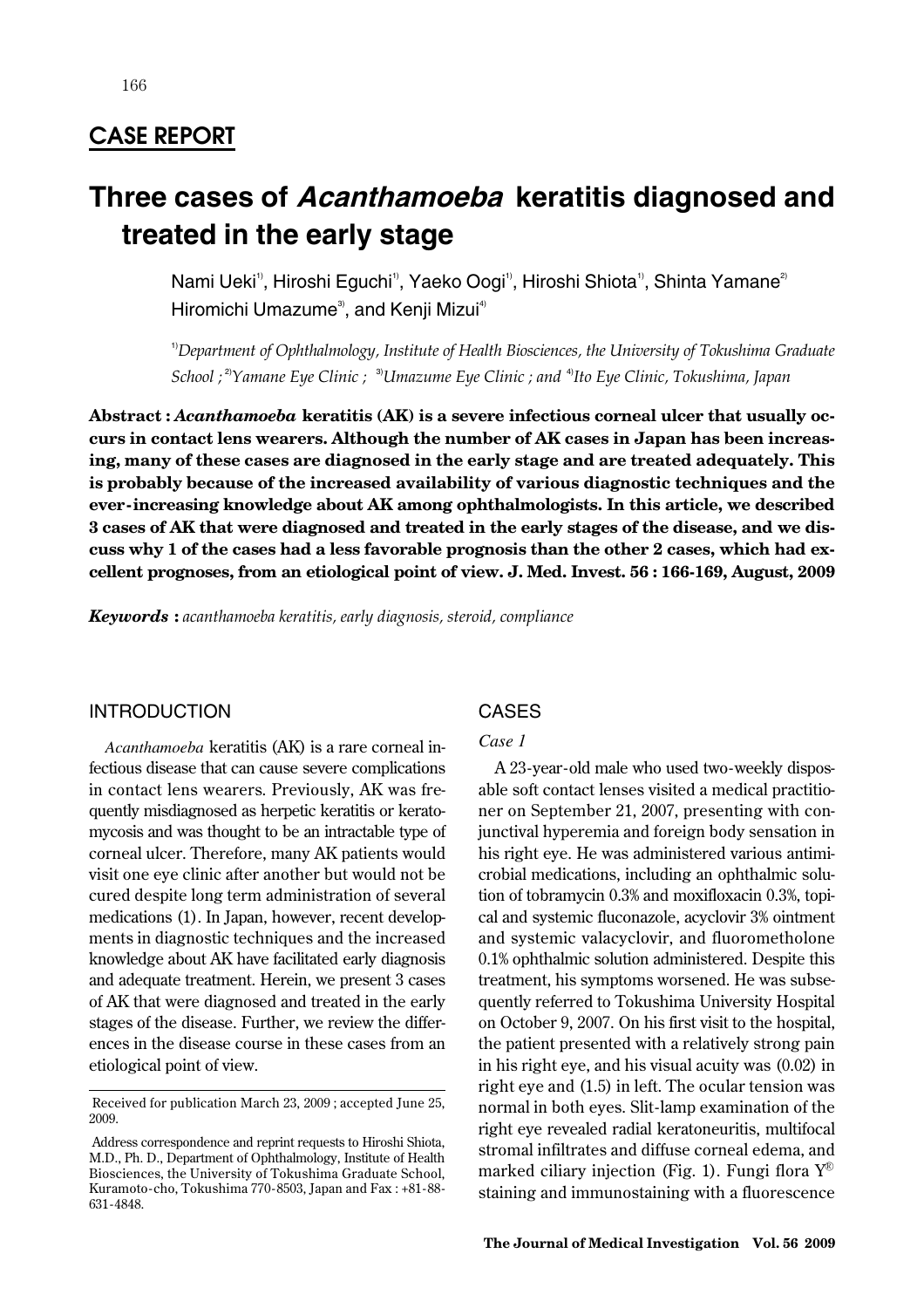166

# **Three cases of Acanthamoeba keratitis diagnosed and treated in the early stage**

Nami Ueki<sup>1</sup>, Hiroshi Eguchi<sup>1</sup>, Yaeko Oogi<sup>1</sup>, Hiroshi Shiota<sup>1</sup>, Shinta Yamane<sup>2</sup> Hiromichi Umazume<sup>3</sup>, and Kenji Mizui<sup>4)</sup>

1)*Department of Ophthalmology, Institute of Health Biosciences, the University of Tokushima Graduate School ;* 2)*Yamane Eye Clinic ;* 3)*Umazume Eye Clinic ; and* 4)*Ito Eye Clinic, Tokushima, Japan*

**Abstract :** *Acanthamoeba* **keratitis (AK) is a severe infectious corneal ulcer that usually occurs in contact lens wearers. Although the number of AK cases in Japan has been increasing, many of these cases are diagnosed in the early stage and are treated adequately. This is probably because of the increased availability of various diagnostic techniques and the ever-increasing knowledge about AK among ophthalmologists. In this article, we described 3 cases of AK that were diagnosed and treated in the early stages of the disease, and we discuss why 1 of the cases had a less favorable prognosis than the other 2 cases, which had excellent prognoses, from an etiological point of view. J. Med. Invest. 56 : 166-169, August, 2009**

*Keywords* **:** *acanthamoeba keratitis, early diagnosis, steroid, compliance*

## INTRODUCTION

*Acanthamoeba* keratitis (AK) is a rare corneal infectious disease that can cause severe complications in contact lens wearers. Previously, AK was frequently misdiagnosed as herpetic keratitis or keratomycosis and was thought to be an intractable type of corneal ulcer. Therefore, many AK patients would visit one eye clinic after another but would not be cured despite long term administration of several medications (1). In Japan, however, recent developments in diagnostic techniques and the increased knowledge about AK have facilitated early diagnosis and adequate treatment. Herein, we present 3 cases of AK that were diagnosed and treated in the early stages of the disease. Further, we review the differences in the disease course in these cases from an etiological point of view.

# CASES

## *Case 1*

A 23-year-old male who used two-weekly disposable soft contact lenses visited a medical practitioner on September 21, 2007, presenting with conjunctival hyperemia and foreign body sensation in his right eye. He was administered various antimicrobial medications, including an ophthalmic solution of tobramycin 0.3% and moxifloxacin 0.3%, topical and systemic fluconazole, acyclovir 3% ointment and systemic valacyclovir, and fluorometholone 0.1% ophthalmic solution administered. Despite this treatment, his symptoms worsened. He was subsequently referred to Tokushima University Hospital on October 9, 2007. On his first visit to the hospital, the patient presented with a relatively strong pain in his right eye, and his visual acuity was (0.02) in right eye and (1.5) in left. The ocular tension was normal in both eyes. Slit-lamp examination of the right eye revealed radial keratoneuritis, multifocal stromal infiltrates and diffuse corneal edema, and marked ciliary injection (Fig. 1). Fungi flora  $\mathrm{Y}^{\scriptscriptstyle{\text{\textcircled{0}}}}$ staining and immunostaining with a fluorescence

Received for publication March 23, 2009 ; accepted June 25, 2009.

Address correspondence and reprint requests to Hiroshi Shiota, M.D., Ph. D., Department of Ophthalmology, Institute of Health Biosciences, the University of Tokushima Graduate School, Kuramoto-cho, Tokushima 770-8503, Japan and Fax : +81-88- 631-4848.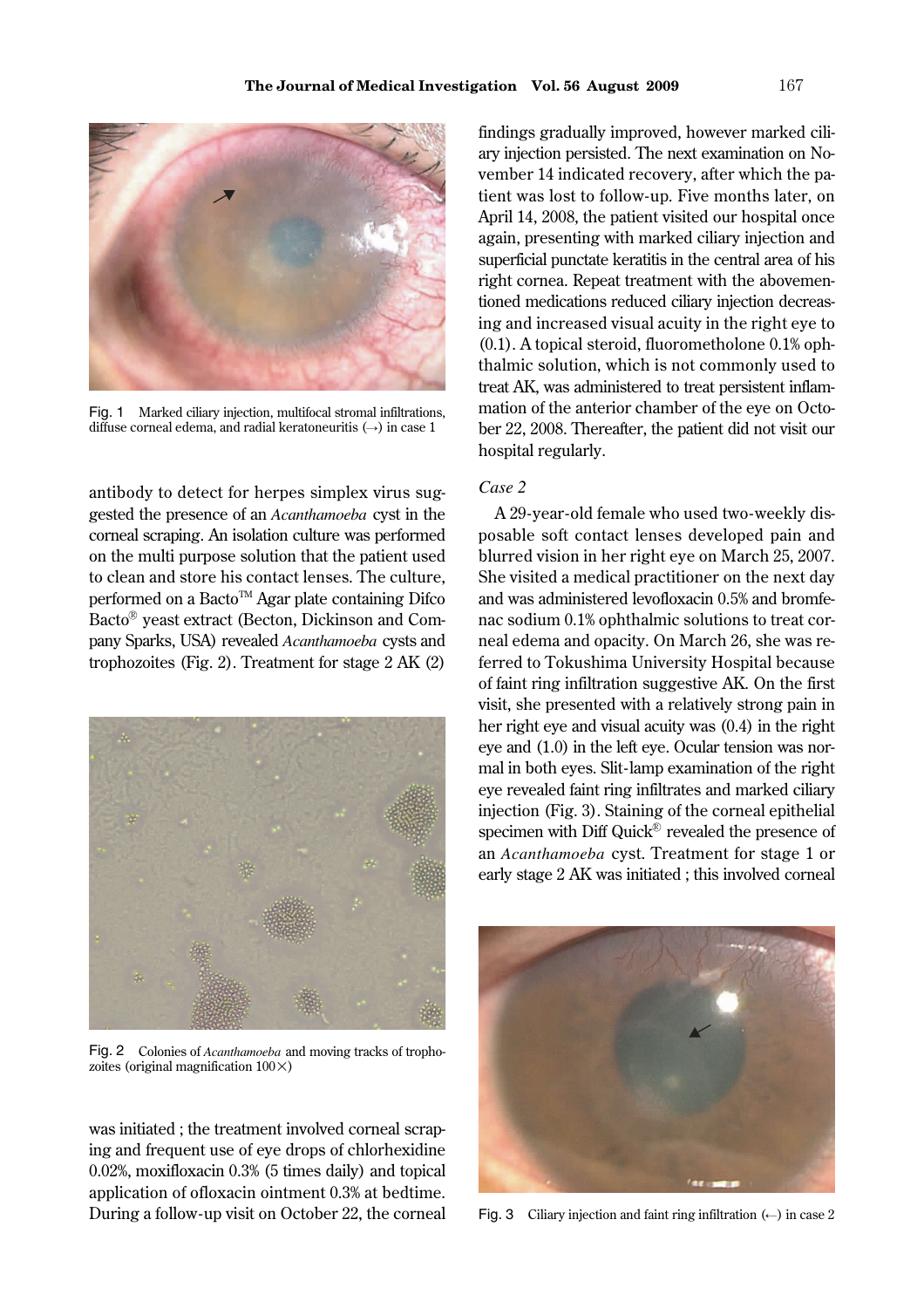

Fig. 1 Marked ciliary injection, multifocal stromal infiltrations, diffuse corneal edema, and radial keratoneuritis  $(\rightarrow)$  in case 1

antibody to detect for herpes simplex virus suggested the presence of an *Acanthamoeba* cyst in the corneal scraping. An isolation culture was performed on the multi purpose solution that the patient used to clean and store his contact lenses. The culture, performed on a Bacto<sup>TM</sup> Agar plate containing Difco Bacto<sup>®</sup> yeast extract (Becton, Dickinson and Company Sparks, USA) revealed *Acanthamoeba* cysts and trophozoites (Fig. 2). Treatment for stage 2 AK (2)



Fig. 2 Colonies of *Acanthamoeba* and moving tracks of trophozoites (original magnification  $100 \times$ )

was initiated ; the treatment involved corneal scraping and frequent use of eye drops of chlorhexidine 0.02%, moxifloxacin 0.3% (5 times daily) and topical application of ofloxacin ointment 0.3% at bedtime. During a follow-up visit on October 22, the corneal findings gradually improved, however marked ciliary injection persisted. The next examination on November 14 indicated recovery, after which the patient was lost to follow-up. Five months later, on April 14, 2008, the patient visited our hospital once again, presenting with marked ciliary injection and superficial punctate keratitis in the central area of his right cornea. Repeat treatment with the abovementioned medications reduced ciliary injection decreasing and increased visual acuity in the right eye to (0.1). A topical steroid, fluorometholone 0.1% ophthalmic solution, which is not commonly used to treat AK, was administered to treat persistent inflammation of the anterior chamber of the eye on October 22, 2008. Thereafter, the patient did not visit our hospital regularly.

#### *Case 2*

A 29-year-old female who used two-weekly disposable soft contact lenses developed pain and blurred vision in her right eye on March 25, 2007. She visited a medical practitioner on the next day and was administered levofloxacin 0.5% and bromfenac sodium 0.1% ophthalmic solutions to treat corneal edema and opacity. On March 26, she was referred to Tokushima University Hospital because of faint ring infiltration suggestive AK. On the first visit, she presented with a relatively strong pain in her right eye and visual acuity was (0.4) in the right eye and (1.0) in the left eye. Ocular tension was normal in both eyes. Slit-lamp examination of the right eye revealed faint ring infiltrates and marked ciliary injection (Fig. 3). Staining of the corneal epithelial specimen with Diff Quick® revealed the presence of an *Acanthamoeba* cyst. Treatment for stage 1 or early stage 2 AK was initiated ; this involved corneal



Fig. 3 Ciliary injection and faint ring infiltration  $(\leftarrow)$  in case 2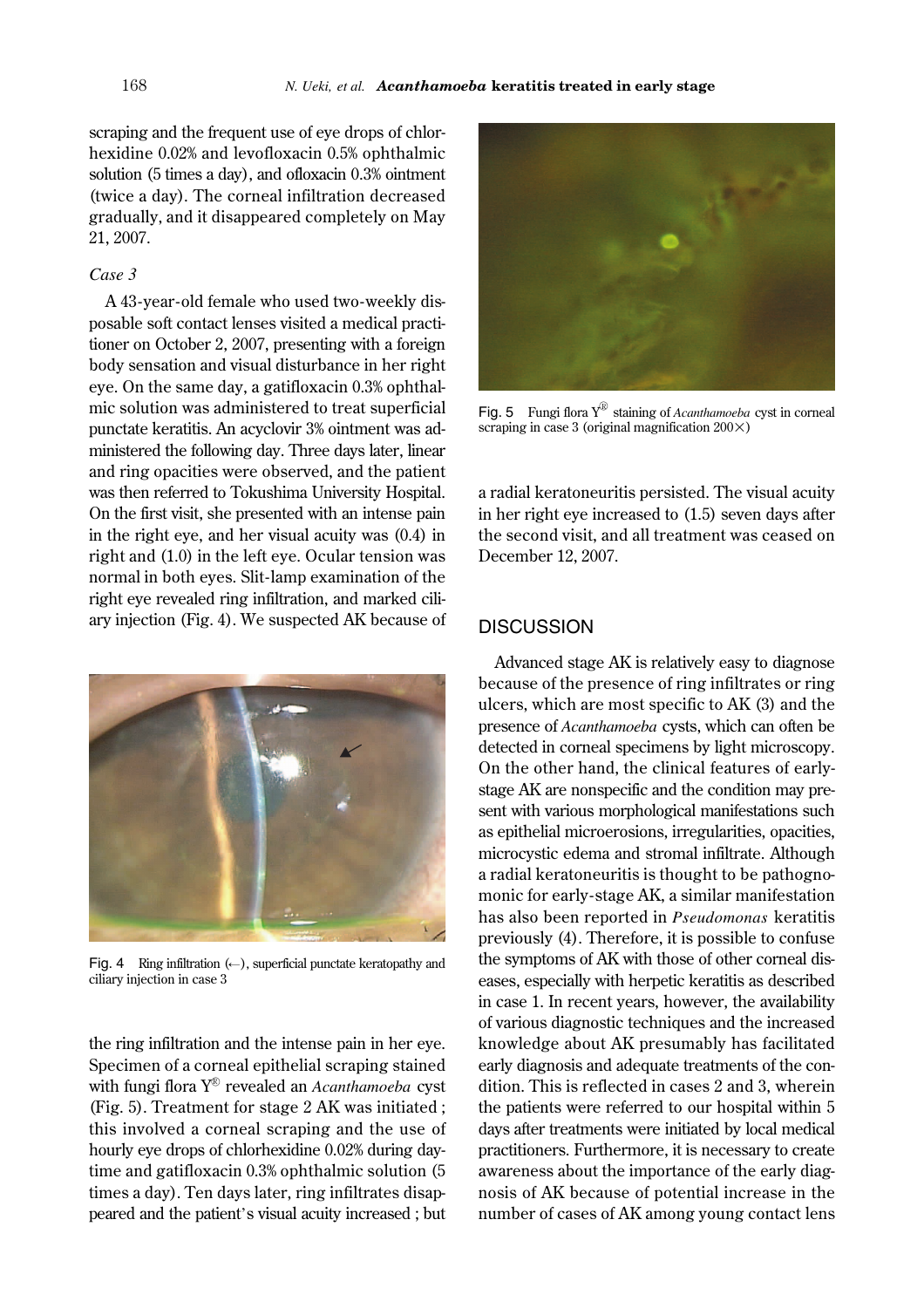scraping and the frequent use of eye drops of chlorhexidine 0.02% and levofloxacin 0.5% ophthalmic solution (5 times a day), and ofloxacin 0.3% ointment (twice a day). The corneal infiltration decreased gradually, and it disappeared completely on May 21, 2007.

#### *Case 3*

A 43-year-old female who used two-weekly disposable soft contact lenses visited a medical practitioner on October 2, 2007, presenting with a foreign body sensation and visual disturbance in her right eye. On the same day, a gatifloxacin 0.3% ophthalmic solution was administered to treat superficial punctate keratitis. An acyclovir 3% ointment was administered the following day. Three days later, linear and ring opacities were observed, and the patient was then referred to Tokushima University Hospital. On the first visit, she presented with an intense pain in the right eye, and her visual acuity was (0.4) in right and (1.0) in the left eye. Ocular tension was normal in both eyes. Slit-lamp examination of the right eye revealed ring infiltration, and marked ciliary injection (Fig. 4). We suspected AK because of



Fig. 4 Ring infiltration  $(\leftarrow)$ , superficial punctate keratopathy and ciliary injection in case 3

the ring infiltration and the intense pain in her eye. Specimen of a corneal epithelial scraping stained with fungi flora Y<sup>®</sup> revealed an *Acanthamoeba* cyst (Fig. 5). Treatment for stage 2 AK was initiated ; this involved a corneal scraping and the use of hourly eye drops of chlorhexidine 0.02% during daytime and gatifloxacin 0.3% ophthalmic solution (5 times a day). Ten days later, ring infiltrates disappeared and the patient's visual acuity increased ; but



Fig. 5 Fungi flora  $Y^{\textcircled{\tiny{\textcirc}}}$  staining of *Acanthamoeba* cyst in corneal scraping in case 3 (original magnification  $200 \times$ )

a radial keratoneuritis persisted. The visual acuity in her right eye increased to (1.5) seven days after the second visit, and all treatment was ceased on December 12, 2007.

#### **DISCUSSION**

Advanced stage AK is relatively easy to diagnose because of the presence of ring infiltrates or ring ulcers, which are most specific to AK (3) and the presence of *Acanthamoeba* cysts, which can often be detected in corneal specimens by light microscopy. On the other hand, the clinical features of earlystage AK are nonspecific and the condition may present with various morphological manifestations such as epithelial microerosions, irregularities, opacities, microcystic edema and stromal infiltrate. Although a radial keratoneuritis is thought to be pathognomonic for early-stage AK, a similar manifestation has also been reported in *Pseudomonas* keratitis previously (4). Therefore, it is possible to confuse the symptoms of AK with those of other corneal diseases, especially with herpetic keratitis as described in case 1. In recent years, however, the availability of various diagnostic techniques and the increased knowledge about AK presumably has facilitated early diagnosis and adequate treatments of the condition. This is reflected in cases 2 and 3, wherein the patients were referred to our hospital within 5 days after treatments were initiated by local medical practitioners. Furthermore, it is necessary to create awareness about the importance of the early diagnosis of AK because of potential increase in the number of cases of AK among young contact lens